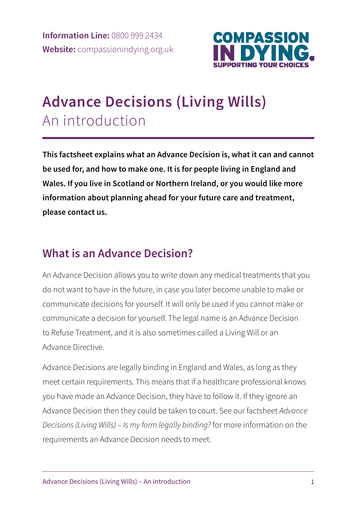

# **Advance Decisions (Living Wills)**  An introduction

**This factsheet explains what an Advance Decision is, what it can and cannot be used for, and how to make one. It is for people living in England and Wales. If you live in Scotland or Northern Ireland, or you would like more information about planning ahead for your future care and treatment, please contact us.** 

## **What is an Advance Decision?**

An Advance Decision allows you to write down any medical treatments that you do not want to have in the future, in case you later become unable to make or communicate decisions for yourself. It will only be used if you cannot make or communicate a decision for yourself. The legal name is an Advance Decision to Refuse Treatment, and it is also sometimes called a Living Will or an Advance Directive.

Advance Decisions are legally binding in England and Wales, as long as they meet certain requirements. This means that if a healthcare professional knows you have made an Advance Decision, they have to follow it. If they ignore an Advance Decision then they could be taken to court. See our factsheet *Advance Decisions (Living Wills) – Is my form legally binding?* for more information on the requirements an Advance Decision needs to meet.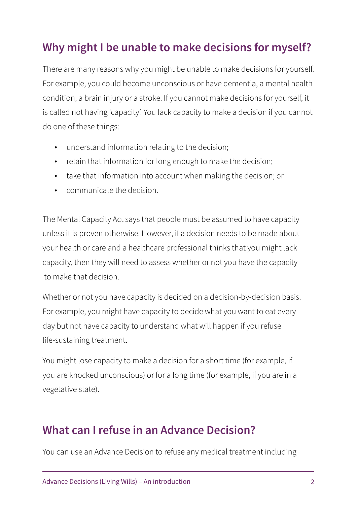## **Why might I be unable to make decisions for myself?**

There are many reasons why you might be unable to make decisions for yourself. For example, you could become unconscious or have dementia, a mental health condition, a brain injury or a stroke. If you cannot make decisions for yourself, it is called not having 'capacity'. You lack capacity to make a decision if you cannot do one of these things:

- understand information relating to the decision;
- retain that information for long enough to make the decision;
- take that information into account when making the decision; or
- communicate the decision.

The Mental Capacity Act says that people must be assumed to have capacity unless it is proven otherwise. However, if a decision needs to be made about your health or care and a healthcare professional thinks that you might lack capacity, then they will need to assess whether or not you have the capacity to make that decision.

Whether or not you have capacity is decided on a decision-by-decision basis. For example, you might have capacity to decide what you want to eat every day but not have capacity to understand what will happen if you refuse life-sustaining treatment.

You might lose capacity to make a decision for a short time (for example, if you are knocked unconscious) or for a long time (for example, if you are in a vegetative state).

#### **What can I refuse in an Advance Decision?**

You can use an Advance Decision to refuse any medical treatment including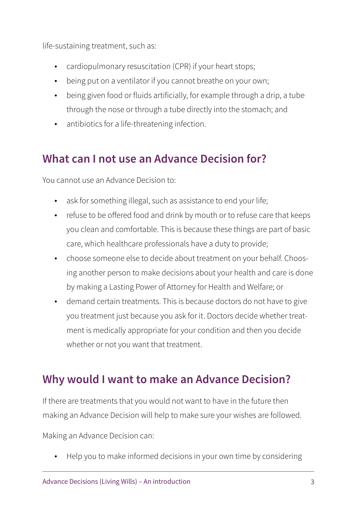life-sustaining treatment, such as:

- cardiopulmonary resuscitation (CPR) if your heart stops;
- being put on a ventilator if you cannot breathe on your own;
- being given food or fluids artificially, for example through a drip, a tube through the nose or through a tube directly into the stomach; and
- antibiotics for a life-threatening infection.

#### **What can I not use an Advance Decision for?**

You cannot use an Advance Decision to:

- ask for something illegal, such as assistance to end your life;
- refuse to be offered food and drink by mouth or to refuse care that keeps you clean and comfortable. This is because these things are part of basic care, which healthcare professionals have a duty to provide;
- choose someone else to decide about treatment on your behalf. Choosing another person to make decisions about your health and care is done by making a Lasting Power of Attorney for Health and Welfare; or
- demand certain treatments. This is because doctors do not have to give you treatment just because you ask for it. Doctors decide whether treatment is medically appropriate for your condition and then you decide whether or not you want that treatment.

## **Why would I want to make an Advance Decision?**

If there are treatments that you would not want to have in the future then making an Advance Decision will help to make sure your wishes are followed.

Making an Advance Decision can:

• Help you to make informed decisions in your own time by considering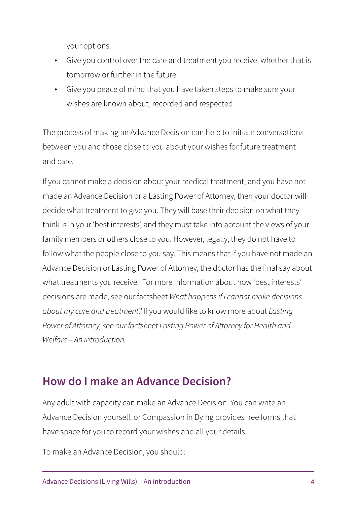your options.

- Give you control over the care and treatment you receive, whether that is tomorrow or further in the future.
- Give you peace of mind that you have taken steps to make sure your wishes are known about, recorded and respected.

The process of making an Advance Decision can help to initiate conversations between you and those close to you about your wishes for future treatment and care.

If you cannot make a decision about your medical treatment, and you have not made an Advance Decision or a Lasting Power of Attorney, then your doctor will decide what treatment to give you. They will base their decision on what they think is in your 'best interests', and they must take into account the views of your family members or others close to you. However, legally, they do not have to follow what the people close to you say. This means that if you have not made an Advance Decision or Lasting Power of Attorney, the doctor has the final say about what treatments you receive. For more information about how 'best interests' decisions are made, see our factsheet *What happens if I cannot make decisions about my care and treatment?* If you would like to know more about *Lasting Power of Attorney, see our factsheet Lasting Power of Attorney for Health and Welfare – An introduction.* 

#### **How do I make an Advance Decision?**

Any adult with capacity can make an Advance Decision. You can write an Advance Decision yourself, or Compassion in Dying provides free forms that have space for you to record your wishes and all your details.

To make an Advance Decision, you should: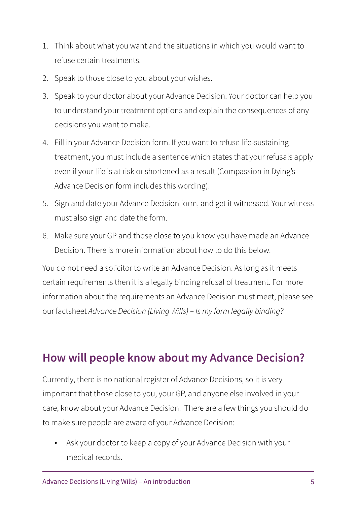- 1. Think about what you want and the situations in which you would want to refuse certain treatments.
- 2. Speak to those close to you about your wishes.
- 3. Speak to your doctor about your Advance Decision. Your doctor can help you to understand your treatment options and explain the consequences of any decisions you want to make.
- 4. Fill in your Advance Decision form. If you want to refuse life-sustaining treatment, you must include a sentence which states that your refusals apply even if your life is at risk or shortened as a result (Compassion in Dying's Advance Decision form includes this wording).
- 5. Sign and date your Advance Decision form, and get it witnessed. Your witness must also sign and date the form.
- 6. Make sure your GP and those close to you know you have made an Advance Decision. There is more information about how to do this below.

You do not need a solicitor to write an Advance Decision. As long as it meets certain requirements then it is a legally binding refusal of treatment. For more information about the requirements an Advance Decision must meet, please see our factsheet *Advance Decision (Living Wills) – Is my form legally binding?* 

## **How will people know about my Advance Decision?**

Currently, there is no national register of Advance Decisions, so it is very important that those close to you, your GP, and anyone else involved in your care, know about your Advance Decision. There are a few things you should do to make sure people are aware of your Advance Decision:

• Ask your doctor to keep a copy of your Advance Decision with your medical records.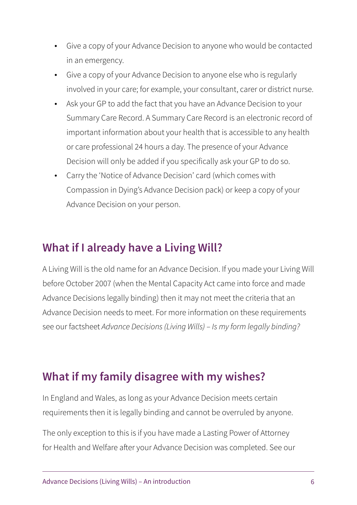- Give a copy of your Advance Decision to anyone who would be contacted in an emergency.
- Give a copy of your Advance Decision to anyone else who is regularly involved in your care; for example, your consultant, carer or district nurse.
- Ask your GP to add the fact that you have an Advance Decision to your Summary Care Record. A Summary Care Record is an electronic record of important information about your health that is accessible to any health or care professional 24 hours a day. The presence of your Advance Decision will only be added if you specifically ask your GP to do so.
- Carry the 'Notice of Advance Decision' card (which comes with Compassion in Dying's Advance Decision pack) or keep a copy of your Advance Decision on your person.

#### **What if I already have a Living Will?**

A Living Will is the old name for an Advance Decision. If you made your Living Will before October 2007 (when the Mental Capacity Act came into force and made Advance Decisions legally binding) then it may not meet the criteria that an Advance Decision needs to meet. For more information on these requirements see our factsheet *Advance Decisions (Living Wills) – Is my form legally binding?*

#### **What if my family disagree with my wishes?**

In England and Wales, as long as your Advance Decision meets certain requirements then it is legally binding and cannot be overruled by anyone.

The only exception to this is if you have made a Lasting Power of Attorney for Health and Welfare after your Advance Decision was completed. See our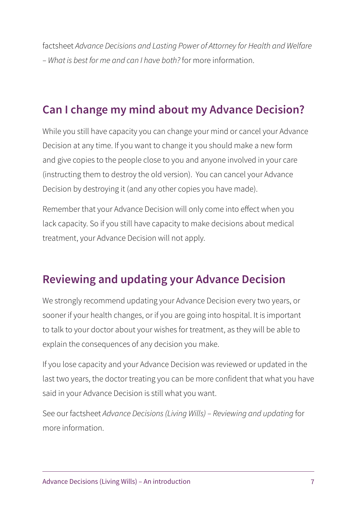factsheet *Advance Decisions and Lasting Power of Attorney for Health and Welfare – What is best for me and can I have both?* for more information.

## **Can I change my mind about my Advance Decision?**

While you still have capacity you can change your mind or cancel your Advance Decision at any time. If you want to change it you should make a new form and give copies to the people close to you and anyone involved in your care (instructing them to destroy the old version). You can cancel your Advance Decision by destroying it (and any other copies you have made).

Remember that your Advance Decision will only come into effect when you lack capacity. So if you still have capacity to make decisions about medical treatment, your Advance Decision will not apply.

## **Reviewing and updating your Advance Decision**

We strongly recommend updating your Advance Decision every two years, or sooner if your health changes, or if you are going into hospital. It is important to talk to your doctor about your wishes for treatment, as they will be able to explain the consequences of any decision you make.

If you lose capacity and your Advance Decision was reviewed or updated in the last two years, the doctor treating you can be more confident that what you have said in your Advance Decision is still what you want.

See our factsheet *Advance Decisions (Living Wills) – Reviewing and updating* for more information.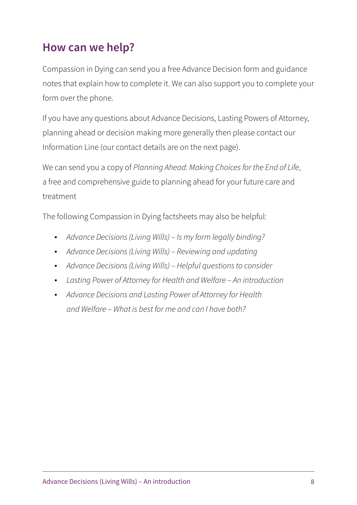#### **How can we help?**

Compassion in Dying can send you a free Advance Decision form and guidance notes that explain how to complete it. We can also support you to complete your form over the phone.

If you have any questions about Advance Decisions, Lasting Powers of Attorney, planning ahead or decision making more generally then please contact our Information Line (our contact details are on the next page).

We can send you a copy of *Planning Ahead: Making Choices for the End of Life*, a free and comprehensive guide to planning ahead for your future care and treatment

The following Compassion in Dying factsheets may also be helpful:

- *Advance Decisions (Living Wills) Is my form legally binding?*
- *Advance Decisions (Living Wills) Reviewing and updating*
- *Advance Decisions (Living Wills) Helpful questions to consider*
- *Lasting Power of Attorney for Health and Welfare An introduction*
- *Advance Decisions and Lasting Power of Attorney for Health and Welfare – What is best for me and can I have both?*